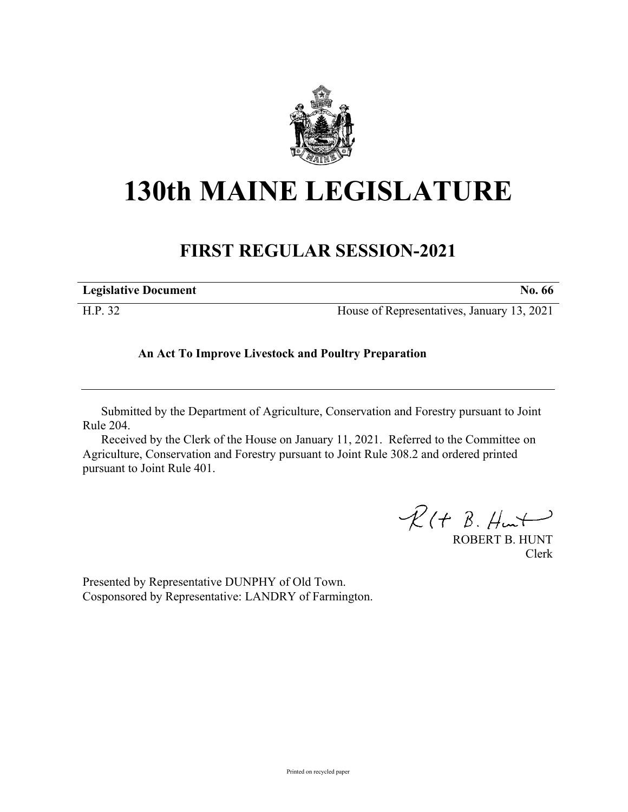

# **130th MAINE LEGISLATURE**

# **FIRST REGULAR SESSION-2021**

| <b>Legislative Document</b> | No. 66                                     |
|-----------------------------|--------------------------------------------|
| H.P. 32                     | House of Representatives, January 13, 2021 |

## **An Act To Improve Livestock and Poultry Preparation**

Submitted by the Department of Agriculture, Conservation and Forestry pursuant to Joint Rule 204.

Received by the Clerk of the House on January 11, 2021. Referred to the Committee on Agriculture, Conservation and Forestry pursuant to Joint Rule 308.2 and ordered printed pursuant to Joint Rule 401.

 $R(H B. H<sub>un</sub>)$ 

ROBERT B. HUNT Clerk

Presented by Representative DUNPHY of Old Town. Cosponsored by Representative: LANDRY of Farmington.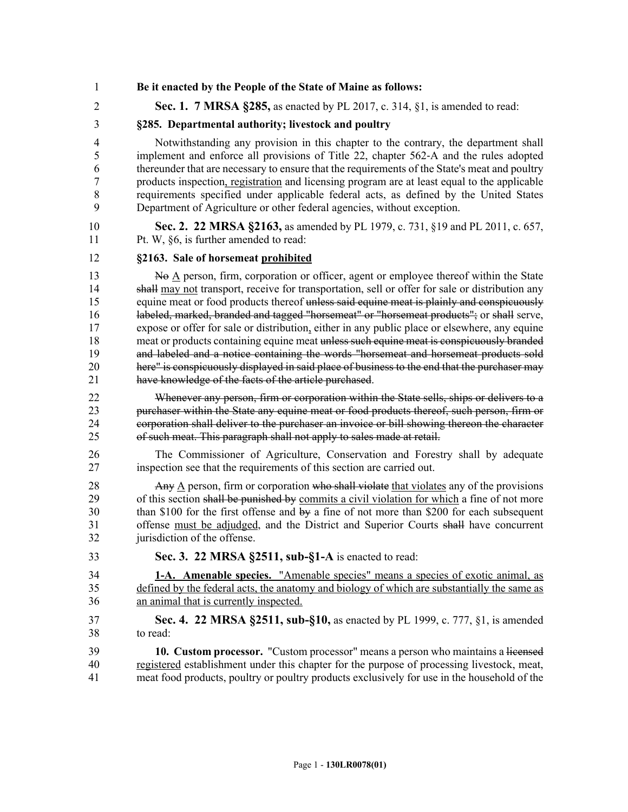- 1 **Be it enacted by the People of the State of Maine as follows:**
- 2 **Sec. 1. 7 MRSA §285,** as enacted by PL 2017, c. 314, §1, is amended to read:

#### 3 **§285. Departmental authority; livestock and poultry**

4 Notwithstanding any provision in this chapter to the contrary, the department shall 5 implement and enforce all provisions of Title 22, chapter 562‑A and the rules adopted 6 thereunder that are necessary to ensure that the requirements of the State's meat and poultry 7 products inspection, registration and licensing program are at least equal to the applicable 8 requirements specified under applicable federal acts, as defined by the United States 9 Department of Agriculture or other federal agencies, without exception.

10 **Sec. 2. 22 MRSA §2163,** as amended by PL 1979, c. 731, §19 and PL 2011, c. 657, 11 Pt. W, §6, is further amended to read:

#### 12 **§2163. Sale of horsemeat prohibited**

13 No  $\underline{A}$  person, firm, corporation or officer, agent or employee thereof within the State 14 shall may not transport, receive for transportation, sell or offer for sale or distribution any 15 equine meat or food products thereof unless said equine meat is plainly and conspicuously 16 labeled, marked, branded and tagged "horsemeat" or "horsemeat products"; or shall serve, 17 expose or offer for sale or distribution, either in any public place or elsewhere, any equine 18 meat or products containing equine meat unless such equine meat is conspicuously branded 19 and labeled and a notice containing the words "horsemeat and horsemeat products sold 20 here" is conspicuously displayed in said place of business to the end that the purchaser may 21 have knowledge of the facts of the article purchased.

22 Whenever any person, firm or corporation within the State sells, ships or delivers to a 23 purchaser within the State any equine meat or food products thereof, such person, firm or 24 corporation shall deliver to the purchaser an invoice or bill showing thereon the character 25 of such meat. This paragraph shall not apply to sales made at retail.

26 The Commissioner of Agriculture, Conservation and Forestry shall by adequate 27 inspection see that the requirements of this section are carried out.

28 Any A person, firm or corporation who shall violate that violates any of the provisions 29 of this section shall be punished by commits a civil violation for which a fine of not more 30 than \$100 for the first offense and by a fine of not more than \$200 for each subsequent 31 offense must be adjudged, and the District and Superior Courts shall have concurrent 32 jurisdiction of the offense.

- 
- 33 **Sec. 3. 22 MRSA §2511, sub-§1-A** is enacted to read:
- 34 **1-A. Amenable species.** "Amenable species" means a species of exotic animal, as 35 defined by the federal acts, the anatomy and biology of which are substantially the same as 36 an animal that is currently inspected.
- 37 **Sec. 4. 22 MRSA §2511, sub-§10,** as enacted by PL 1999, c. 777, §1, is amended 38 to read:

39 **10. Custom processor.** "Custom processor" means a person who maintains a licensed 40 registered establishment under this chapter for the purpose of processing livestock, meat, 41 meat food products, poultry or poultry products exclusively for use in the household of the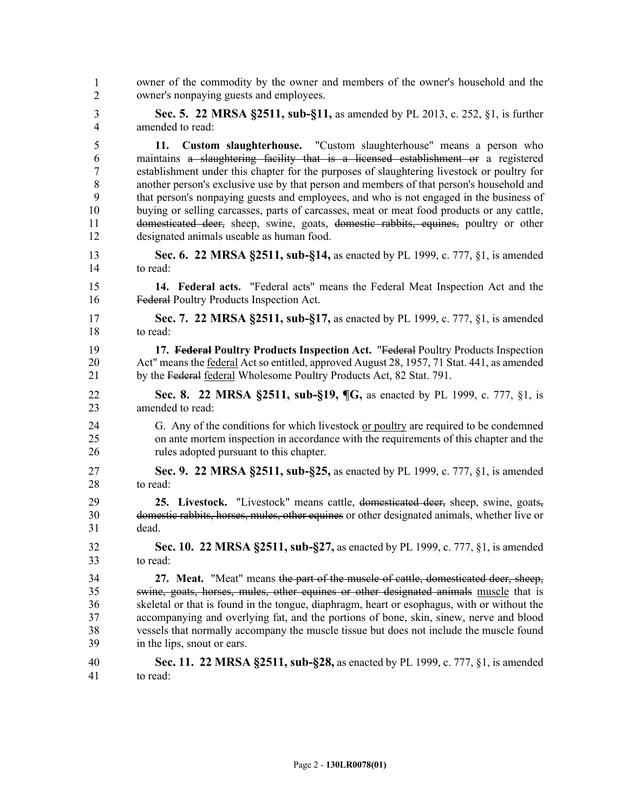owner of the commodity by the owner and members of the owner's household and the owner's nonpaying guests and employees. 3 **Sec. 5. 22 MRSA §2511, sub-§11,** as amended by PL 2013, c. 252, §1, is further 4 amended to read: 5 **11. Custom slaughterhouse.** "Custom slaughterhouse" means a person who 6 maintains a slaughtering facility that is a licensed establishment or a registered 7 establishment under this chapter for the purposes of slaughtering livestock or poultry for 8 another person's exclusive use by that person and members of that person's household and 9 that person's nonpaying guests and employees, and who is not engaged in the business of 10 buying or selling carcasses, parts of carcasses, meat or meat food products or any cattle, 11 domesticated deer, sheep, swine, goats, domestic rabbits, equines, poultry or other 12 designated animals useable as human food. 13 **Sec. 6. 22 MRSA §2511, sub-§14,** as enacted by PL 1999, c. 777, §1, is amended 14 to read: 15 **14. Federal acts.** "Federal acts" means the Federal Meat Inspection Act and the 16 Federal Poultry Products Inspection Act. 17 **Sec. 7. 22 MRSA §2511, sub-§17,** as enacted by PL 1999, c. 777, §1, is amended 18 to read: 19 **17. Federal Poultry Products Inspection Act.** "Federal Poultry Products Inspection 20 Act" means the federal Act so entitled, approved August 28, 1957, 71 Stat. 441, as amended 21 by the Federal federal Wholesome Poultry Products Act, 82 Stat. 791. 22 **Sec. 8. 22 MRSA §2511, sub-§19, ¶G,** as enacted by PL 1999, c. 777, §1, is 23 amended to read: 24 G. Any of the conditions for which livestock or poultry are required to be condemned 25 on ante mortem inspection in accordance with the requirements of this chapter and the 26 rules adopted pursuant to this chapter. 27 **Sec. 9. 22 MRSA §2511, sub-§25,** as enacted by PL 1999, c. 777, §1, is amended 28 to read: 29 **25. Livestock.** "Livestock" means cattle, domesticated deer, sheep, swine, goats, 30 domestic rabbits, horses, mules, other equines or other designated animals, whether live or 31 dead. 32 **Sec. 10. 22 MRSA §2511, sub-§27,** as enacted by PL 1999, c. 777, §1, is amended 33 to read: 34 **27. Meat.** "Meat" means the part of the muscle of cattle, domesticated deer, sheep, 35 swine, goats, horses, mules, other equines or other designated animals muscle that is 36 skeletal or that is found in the tongue, diaphragm, heart or esophagus, with or without the 37 accompanying and overlying fat, and the portions of bone, skin, sinew, nerve and blood 38 vessels that normally accompany the muscle tissue but does not include the muscle found 39 in the lips, snout or ears. 40 **Sec. 11. 22 MRSA §2511, sub-§28,** as enacted by PL 1999, c. 777, §1, is amended 41 to read: 1 2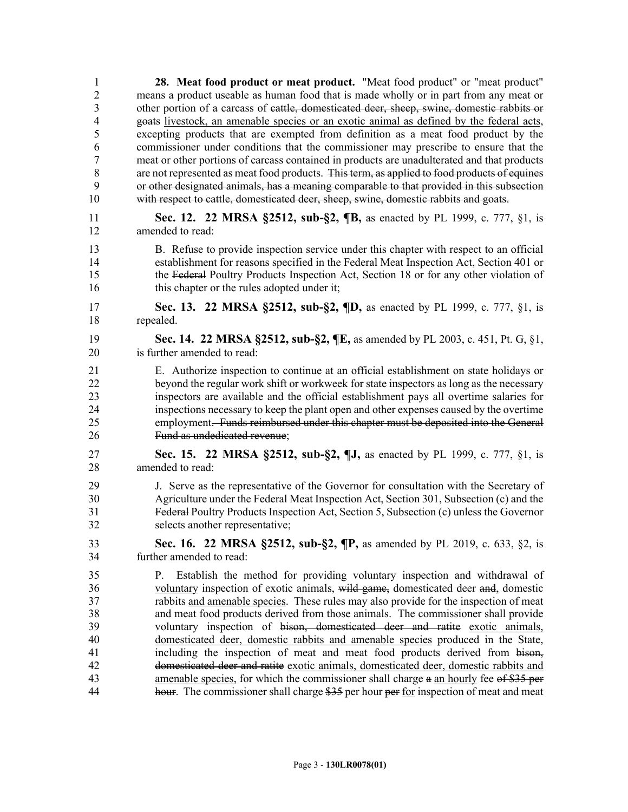| $\mathbf{1}$   | 28. Meat food product or meat product. "Meat food product" or "meat product"                 |
|----------------|----------------------------------------------------------------------------------------------|
| $\overline{2}$ | means a product useable as human food that is made wholly or in part from any meat or        |
| $\overline{3}$ | other portion of a carcass of eattle, domesticated deer, sheep, swine, domestic rabbits or   |
| $\overline{4}$ | goats livestock, an amenable species or an exotic animal as defined by the federal acts,     |
| 5              | excepting products that are exempted from definition as a meat food product by the           |
| 6              | commissioner under conditions that the commissioner may prescribe to ensure that the         |
| $\overline{7}$ | meat or other portions of carcass contained in products are unadulterated and that products  |
| 8              | are not represented as meat food products. This term, as applied to food products of equines |
| 9              | or other designated animals, has a meaning comparable to that provided in this subsection    |
| 10             | with respect to cattle, domesticated deer, sheep, swine, domestic rabbits and goats.         |
| 11             | <b>Sec. 12. 22 MRSA §2512, sub-§2, ¶B,</b> as enacted by PL 1999, c. 777, §1, is             |
| 12             | amended to read:                                                                             |
|                |                                                                                              |
| 13             | B. Refuse to provide inspection service under this chapter with respect to an official       |
| 14             | establishment for reasons specified in the Federal Meat Inspection Act, Section 401 or       |
| 15             | the Federal Poultry Products Inspection Act, Section 18 or for any other violation of        |
| 16             | this chapter or the rules adopted under it;                                                  |
| 17             | Sec. 13. 22 MRSA §2512, sub-§2, ¶D, as enacted by PL 1999, c. 777, §1, is                    |
| 18             | repealed.                                                                                    |
|                |                                                                                              |
| 19             | Sec. 14. 22 MRSA §2512, sub-§2, ¶E, as amended by PL 2003, c. 451, Pt. G, §1,                |
| 20             | is further amended to read:                                                                  |
| 21             | E. Authorize inspection to continue at an official establishment on state holidays or        |
| 22             | beyond the regular work shift or workweek for state inspectors as long as the necessary      |
| 23             | inspectors are available and the official establishment pays all overtime salaries for       |
| 24             | inspections necessary to keep the plant open and other expenses caused by the overtime       |
| 25             | employment. Funds reimbursed under this chapter must be deposited into the General           |
| 26             | Fund as undedicated revenue;                                                                 |
| 27             | Sec. 15. 22 MRSA §2512, sub-§2, ¶J, as enacted by PL 1999, c. 777, §1, is                    |
| 28             | amended to read:                                                                             |
|                |                                                                                              |
| 29             | J. Serve as the representative of the Governor for consultation with the Secretary of        |
| 30             | Agriculture under the Federal Meat Inspection Act, Section 301, Subsection (c) and the       |
| 31             | Federal Poultry Products Inspection Act, Section 5, Subsection (c) unless the Governor       |
| 32             | selects another representative;                                                              |
| 33             | Sec. 16. 22 MRSA §2512, sub-§2, ¶P, as amended by PL 2019, c. 633, §2, is                    |
| 34             | further amended to read:                                                                     |
| 35             | Establish the method for providing voluntary inspection and withdrawal of<br>$P_{\cdot}$     |
| 36             | voluntary inspection of exotic animals, wild game, domesticated deer and, domestic           |
| 37             | rabbits and amenable species. These rules may also provide for the inspection of meat        |
| 38             | and meat food products derived from those animals. The commissioner shall provide            |
| 39             | voluntary inspection of bison, domesticated deer and ratite exotic animals,                  |
| 40             | domesticated deer, domestic rabbits and amenable species produced in the State,              |
| 41             | including the inspection of meat and meat food products derived from bison-                  |
| 42             | domesticated deer and ratite exotic animals, domesticated deer, domestic rabbits and         |
| 43             | amenable species, for which the commissioner shall charge a an hourly fee of \$35 per        |
| 44             | hour. The commissioner shall charge \$35 per hour per for inspection of meat and meat        |
|                |                                                                                              |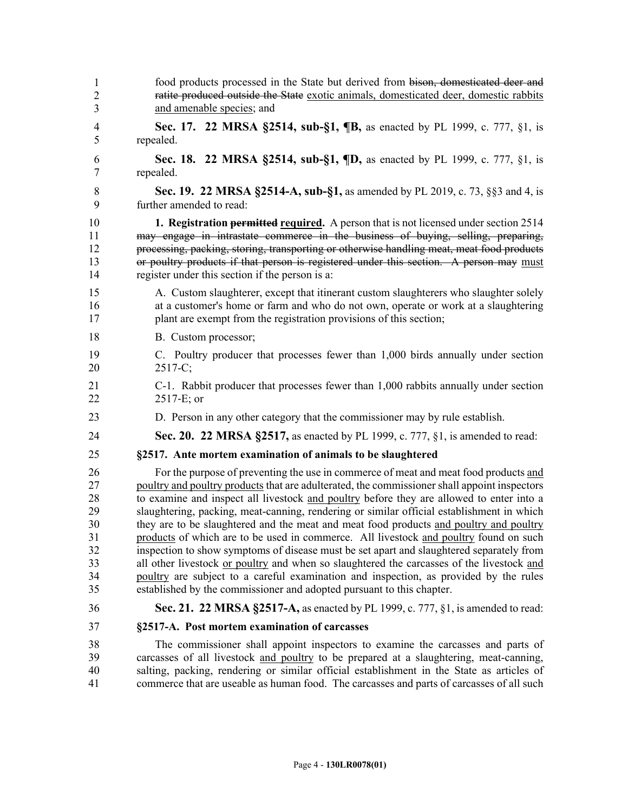| 1              | food products processed in the State but derived from bison, domesticated deer and                     |
|----------------|--------------------------------------------------------------------------------------------------------|
| $\overline{c}$ | ratite produced outside the State exotic animals, domesticated deer, domestic rabbits                  |
| 3              | and amenable species; and                                                                              |
| 4              | Sec. 17. 22 MRSA §2514, sub-§1, ¶B, as enacted by PL 1999, c. 777, §1, is                              |
| 5              | repealed.                                                                                              |
| 6              | Sec. 18. 22 MRSA §2514, sub-§1, ¶D, as enacted by PL 1999, c. 777, §1, is                              |
| 7              | repealed.                                                                                              |
| $\,8\,$        | Sec. 19. 22 MRSA §2514-A, sub-§1, as amended by PL 2019, c. 73, §§3 and 4, is                          |
| 9              | further amended to read:                                                                               |
| 10             | <b>1. Registration <del>permitted</del> required.</b> A person that is not licensed under section 2514 |
| 11             | may engage in intrastate commerce in the business of buying, selling, preparing,                       |
| 12             | processing, packing, storing, transporting or otherwise handling meat, meat food products              |
| 13             | or poultry products if that person is registered under this section. A person may must                 |
| 14             | register under this section if the person is a:                                                        |
| 15             | A. Custom slaughterer, except that itinerant custom slaughterers who slaughter solely                  |
| 16             | at a customer's home or farm and who do not own, operate or work at a slaughtering                     |
| 17             | plant are exempt from the registration provisions of this section;                                     |
| 18             | B. Custom processor;                                                                                   |
| 19             | C. Poultry producer that processes fewer than 1,000 birds annually under section                       |
| 20             | $2517-C;$                                                                                              |
| 21             | C-1. Rabbit producer that processes fewer than 1,000 rabbits annually under section                    |
| 22             | $2517-E$ ; or                                                                                          |
| 23             | D. Person in any other category that the commissioner may by rule establish.                           |
| 24             | <b>Sec. 20. 22 MRSA §2517, as enacted by PL 1999, c. 777, §1, is amended to read:</b>                  |
| 25             | §2517. Ante mortem examination of animals to be slaughtered                                            |
| 26             | For the purpose of preventing the use in commerce of meat and meat food products and                   |
| 27             | poultry and poultry products that are adulterated, the commissioner shall appoint inspectors           |
| 28             | to examine and inspect all livestock and poultry before they are allowed to enter into a               |
| 29             | slaughtering, packing, meat-canning, rendering or similar official establishment in which              |
| 30             | they are to be slaughtered and the meat and meat food products and poultry and poultry                 |
| 31             | products of which are to be used in commerce. All livestock and poultry found on such                  |
| 32             | inspection to show symptoms of disease must be set apart and slaughtered separately from               |
| 33             | all other livestock or poultry and when so slaughtered the carcasses of the livestock and              |
| 34             | poultry are subject to a careful examination and inspection, as provided by the rules                  |
| 35             | established by the commissioner and adopted pursuant to this chapter.                                  |
| 36             | <b>Sec. 21. 22 MRSA §2517-A,</b> as enacted by PL 1999, c. 777, §1, is amended to read:                |
| 37             | §2517-A. Post mortem examination of carcasses                                                          |
| 38             | The commissioner shall appoint inspectors to examine the carcasses and parts of                        |
| 39             | carcasses of all livestock and poultry to be prepared at a slaughtering, meat-canning,                 |
| 40             | salting, packing, rendering or similar official establishment in the State as articles of              |
| 41             | commerce that are useable as human food. The carcasses and parts of carcasses of all such              |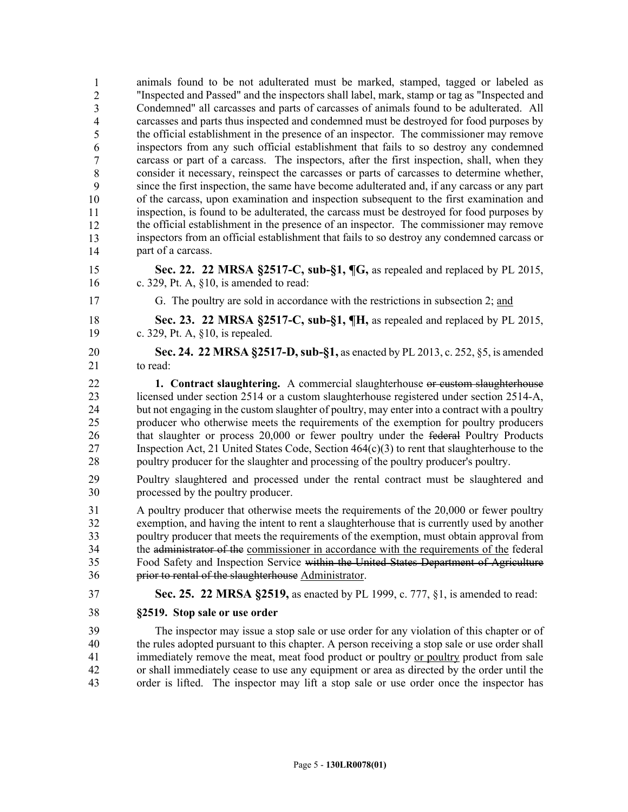animals found to be not adulterated must be marked, stamped, tagged or labeled as 43 "Inspected and Passed" and the inspectors shall label, mark, stamp or tag as "Inspected and Condemned" all carcasses and parts of carcasses of animals found to be adulterated. All 45 carcasses and parts thus inspected and condemned must be destroyed for food purposes by 46 the official establishment in the presence of an inspector. The commissioner may remove 47 inspectors from any such official establishment that fails to so destroy any condemned carcass or part of a carcass. The inspectors, after the first inspection, shall, when they 49 consider it necessary, reinspect the carcasses or parts of carcasses to determine whether, since the first inspection, the same have become adulterated and, if any carcass or any part 51 of the carcass, upon examination and inspection subsequent to the first examination and inspection, is found to be adulterated, the carcass must be destroyed for food purposes by the official establishment in the presence of an inspector. The commissioner may remove inspectors from an official establishment that fails to so destroy any condemned carcass or part of a carcass. 1 2 3 4 5 6 7 8 9 10 11 12 13 14

- 15 **Sec. 22. 22 MRSA §2517-C, sub-§1, ¶G,** as repealed and replaced by PL 2015, 16 c. 329, Pt. A, §10, is amended to read:
- 

17 G. The poultry are sold in accordance with the restrictions in subsection 2; and

18 **Sec. 23. 22 MRSA §2517-C, sub-§1, ¶H,** as repealed and replaced by PL 2015, 19 c. 329, Pt. A, §10, is repealed.

20 **Sec. 24. 22 MRSA §2517-D, sub-§1,** as enacted by PL 2013, c. 252, §5, is amended 21 to read:

22 **1. Contract slaughtering.** A commercial slaughterhouse or custom slaughterhouse 23 licensed under section 2514 or a custom slaughterhouse registered under section 2514-A, 24 but not engaging in the custom slaughter of poultry, may enter into a contract with a poultry 25 producer who otherwise meets the requirements of the exemption for poultry producers 26 that slaughter or process 20,000 or fewer poultry under the federal Poultry Products 27 Inspection Act, 21 United States Code, Section 464(c)(3) to rent that slaughterhouse to the 28 poultry producer for the slaughter and processing of the poultry producer's poultry.

29 Poultry slaughtered and processed under the rental contract must be slaughtered and 30 processed by the poultry producer.

31 A poultry producer that otherwise meets the requirements of the 20,000 or fewer poultry 32 exemption, and having the intent to rent a slaughterhouse that is currently used by another 33 poultry producer that meets the requirements of the exemption, must obtain approval from 34 the administrator of the commissioner in accordance with the requirements of the federal 35 Food Safety and Inspection Service within the United States Department of Agriculture 36 prior to rental of the slaughterhouse Administrator.

- 37 **Sec. 25. 22 MRSA §2519,** as enacted by PL 1999, c. 777, §1, is amended to read:
- 38 **§2519. Stop sale or use order**

39 The inspector may issue a stop sale or use order for any violation of this chapter or of 40 the rules adopted pursuant to this chapter. A person receiving a stop sale or use order shall 41 immediately remove the meat, meat food product or poultry or poultry product from sale 42 or shall immediately cease to use any equipment or area as directed by the order until the 43 order is lifted. The inspector may lift a stop sale or use order once the inspector has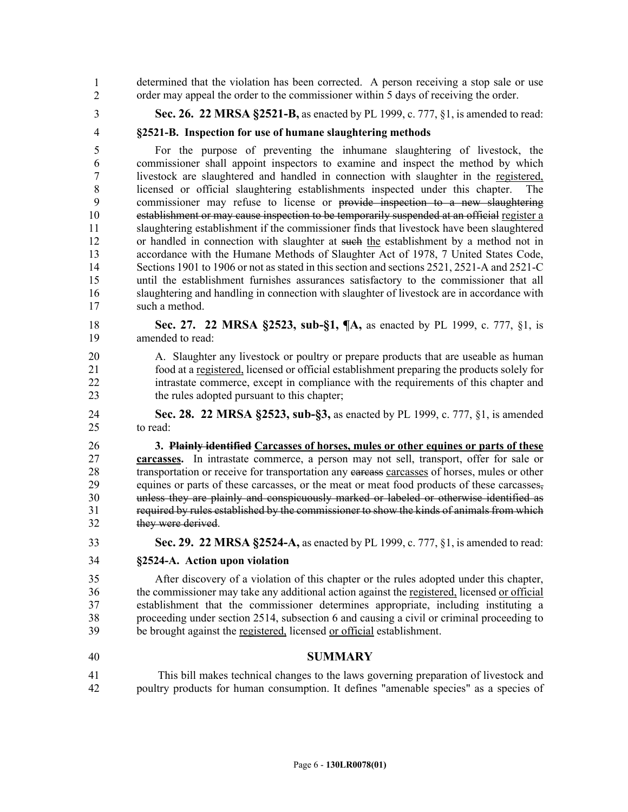44 determined that the violation has been corrected. A person receiving a stop sale or use order may appeal the order to the commissioner within 5 days of receiving the order. 1 2

3 **Sec. 26. 22 MRSA §2521-B,** as enacted by PL 1999, c. 777, §1, is amended to read:

4 **§2521-B. Inspection for use of humane slaughtering methods**

5 For the purpose of preventing the inhumane slaughtering of livestock, the 6 commissioner shall appoint inspectors to examine and inspect the method by which 7 livestock are slaughtered and handled in connection with slaughter in the registered, 8 licensed or official slaughtering establishments inspected under this chapter. The 9 commissioner may refuse to license or provide inspection to a new slaughtering 10 establishment or may cause inspection to be temporarily suspended at an official register a 11 slaughtering establishment if the commissioner finds that livestock have been slaughtered 12 or handled in connection with slaughter at such the establishment by a method not in 13 accordance with the Humane Methods of Slaughter Act of 1978, 7 United States Code, 14 Sections 1901 to 1906 or not as stated in this section and sections 2521, 2521-A and 2521-C 15 until the establishment furnishes assurances satisfactory to the commissioner that all 16 slaughtering and handling in connection with slaughter of livestock are in accordance with 17 such a method.

- 18 **Sec. 27. 22 MRSA §2523, sub-§1, ¶A,** as enacted by PL 1999, c. 777, §1, is 19 amended to read:
- 20 A. Slaughter any livestock or poultry or prepare products that are useable as human 21 food at a registered, licensed or official establishment preparing the products solely for 22 intrastate commerce, except in compliance with the requirements of this chapter and 23 the rules adopted pursuant to this chapter;
- 24 **Sec. 28. 22 MRSA §2523, sub-§3,** as enacted by PL 1999, c. 777, §1, is amended 25 to read:

26 **3. Plainly identified Carcasses of horses, mules or other equines or parts of these**  27 **carcasses.** In intrastate commerce, a person may not sell, transport, offer for sale or 28 transportation or receive for transportation any earcasses carcasses of horses, mules or other 29 equines or parts of these carcasses, or the meat or meat food products of these carcasses, 30 unless they are plainly and conspicuously marked or labeled or otherwise identified as 31 required by rules established by the commissioner to show the kinds of animals from which 32 they were derived.

- 33 **Sec. 29. 22 MRSA §2524-A,** as enacted by PL 1999, c. 777, §1, is amended to read:
- 34 **§2524-A. Action upon violation**

35 After discovery of a violation of this chapter or the rules adopted under this chapter, 36 the commissioner may take any additional action against the registered, licensed or official 37 establishment that the commissioner determines appropriate, including instituting a 38 proceeding under section 2514, subsection 6 and causing a civil or criminal proceeding to 39 be brought against the registered, licensed or official establishment.

## 40 **SUMMARY**

41 This bill makes technical changes to the laws governing preparation of livestock and 42 poultry products for human consumption. It defines "amenable species" as a species of